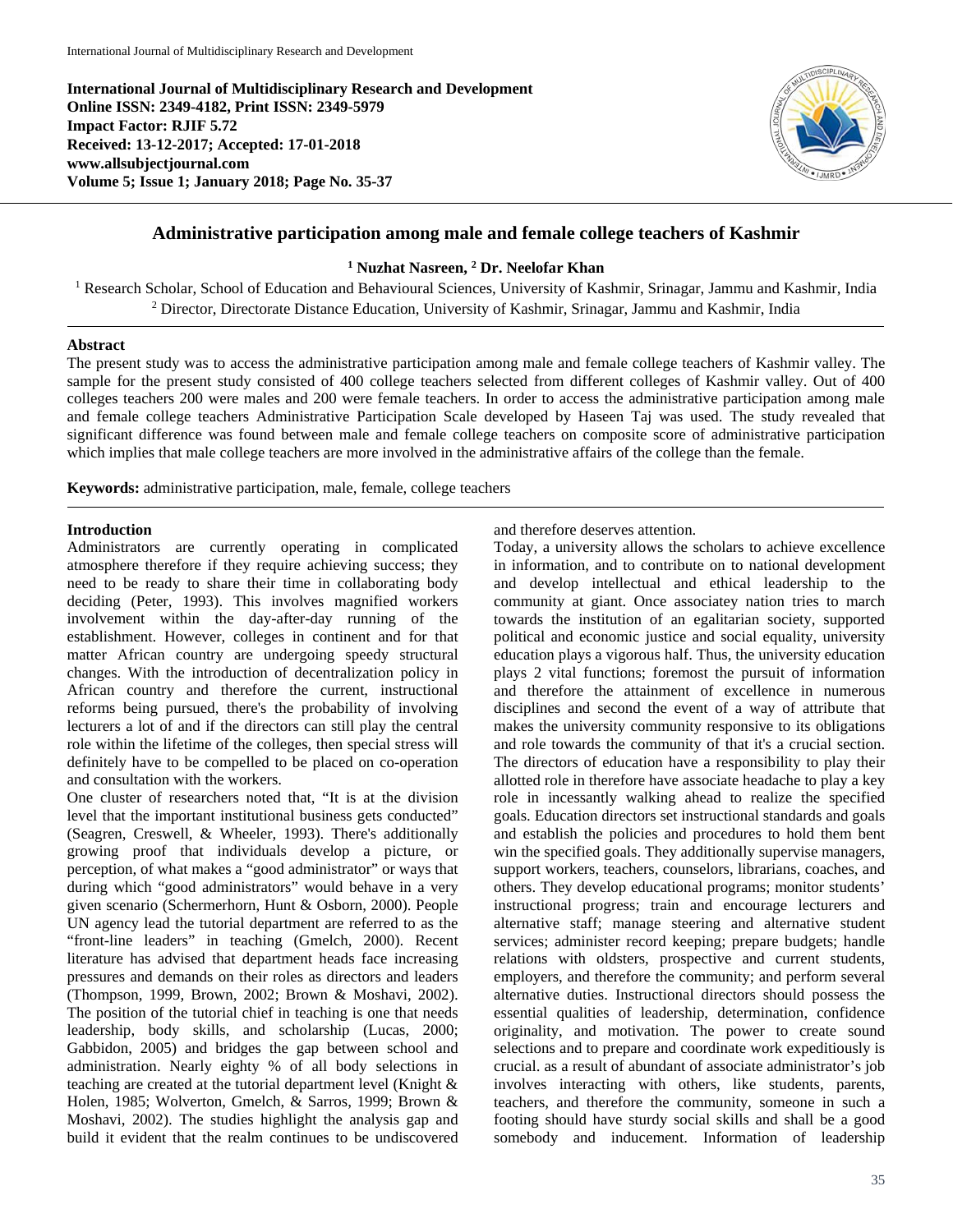**International Journal of Multidisciplinary Research and Development Online ISSN: 2349-4182, Print ISSN: 2349-5979 Impact Factor: RJIF 5.72 Received: 13-12-2017; Accepted: 17-01-2018 www.allsubjectjournal.com Volume 5; Issue 1; January 2018; Page No. 35-37**



## **Administrative participation among male and female college teachers of Kashmir**

#### **<sup>1</sup> Nuzhat Nasreen, 2 Dr. Neelofar Khan**

<sup>1</sup> Research Scholar, School of Education and Behavioural Sciences, University of Kashmir, Srinagar, Jammu and Kashmir, India <sup>2</sup> Director, Directorate Distance Education, University of Kashmir, Srinagar, Jammu and Kashmir, India

#### **Abstract**

The present study was to access the administrative participation among male and female college teachers of Kashmir valley. The sample for the present study consisted of 400 college teachers selected from different colleges of Kashmir valley. Out of 400 colleges teachers 200 were males and 200 were female teachers. In order to access the administrative participation among male and female college teachers Administrative Participation Scale developed by Haseen Taj was used. The study revealed that significant difference was found between male and female college teachers on composite score of administrative participation which implies that male college teachers are more involved in the administrative affairs of the college than the female.

**Keywords:** administrative participation, male, female, college teachers

#### **Introduction**

Administrators are currently operating in complicated atmosphere therefore if they require achieving success; they need to be ready to share their time in collaborating body deciding (Peter, 1993). This involves magnified workers involvement within the day-after-day running of the establishment. However, colleges in continent and for that matter African country are undergoing speedy structural changes. With the introduction of decentralization policy in African country and therefore the current, instructional reforms being pursued, there's the probability of involving lecturers a lot of and if the directors can still play the central role within the lifetime of the colleges, then special stress will definitely have to be compelled to be placed on co-operation and consultation with the workers.

One cluster of researchers noted that, "It is at the division level that the important institutional business gets conducted" (Seagren, Creswell, & Wheeler, 1993). There's additionally growing proof that individuals develop a picture, or perception, of what makes a "good administrator" or ways that during which "good administrators" would behave in a very given scenario (Schermerhorn, Hunt & Osborn, 2000). People UN agency lead the tutorial department are referred to as the "front-line leaders" in teaching (Gmelch, 2000). Recent literature has advised that department heads face increasing pressures and demands on their roles as directors and leaders (Thompson, 1999, Brown, 2002; Brown & Moshavi, 2002). The position of the tutorial chief in teaching is one that needs leadership, body skills, and scholarship (Lucas, 2000; Gabbidon, 2005) and bridges the gap between school and administration. Nearly eighty % of all body selections in teaching are created at the tutorial department level (Knight & Holen, 1985; Wolverton, Gmelch, & Sarros, 1999; Brown & Moshavi, 2002). The studies highlight the analysis gap and build it evident that the realm continues to be undiscovered

and therefore deserves attention.

Today, a university allows the scholars to achieve excellence in information, and to contribute on to national development and develop intellectual and ethical leadership to the community at giant. Once associatey nation tries to march towards the institution of an egalitarian society, supported political and economic justice and social equality, university education plays a vigorous half. Thus, the university education plays 2 vital functions; foremost the pursuit of information and therefore the attainment of excellence in numerous disciplines and second the event of a way of attribute that makes the university community responsive to its obligations and role towards the community of that it's a crucial section. The directors of education have a responsibility to play their allotted role in therefore have associate headache to play a key role in incessantly walking ahead to realize the specified goals. Education directors set instructional standards and goals and establish the policies and procedures to hold them bent win the specified goals. They additionally supervise managers, support workers, teachers, counselors, librarians, coaches, and others. They develop educational programs; monitor students' instructional progress; train and encourage lecturers and alternative staff; manage steering and alternative student services; administer record keeping; prepare budgets; handle relations with oldsters, prospective and current students, employers, and therefore the community; and perform several alternative duties. Instructional directors should possess the essential qualities of leadership, determination, confidence originality, and motivation. The power to create sound selections and to prepare and coordinate work expeditiously is crucial. as a result of abundant of associate administrator's job involves interacting with others, like students, parents, teachers, and therefore the community, someone in such a footing should have sturdy social skills and shall be a good somebody and inducement. Information of leadership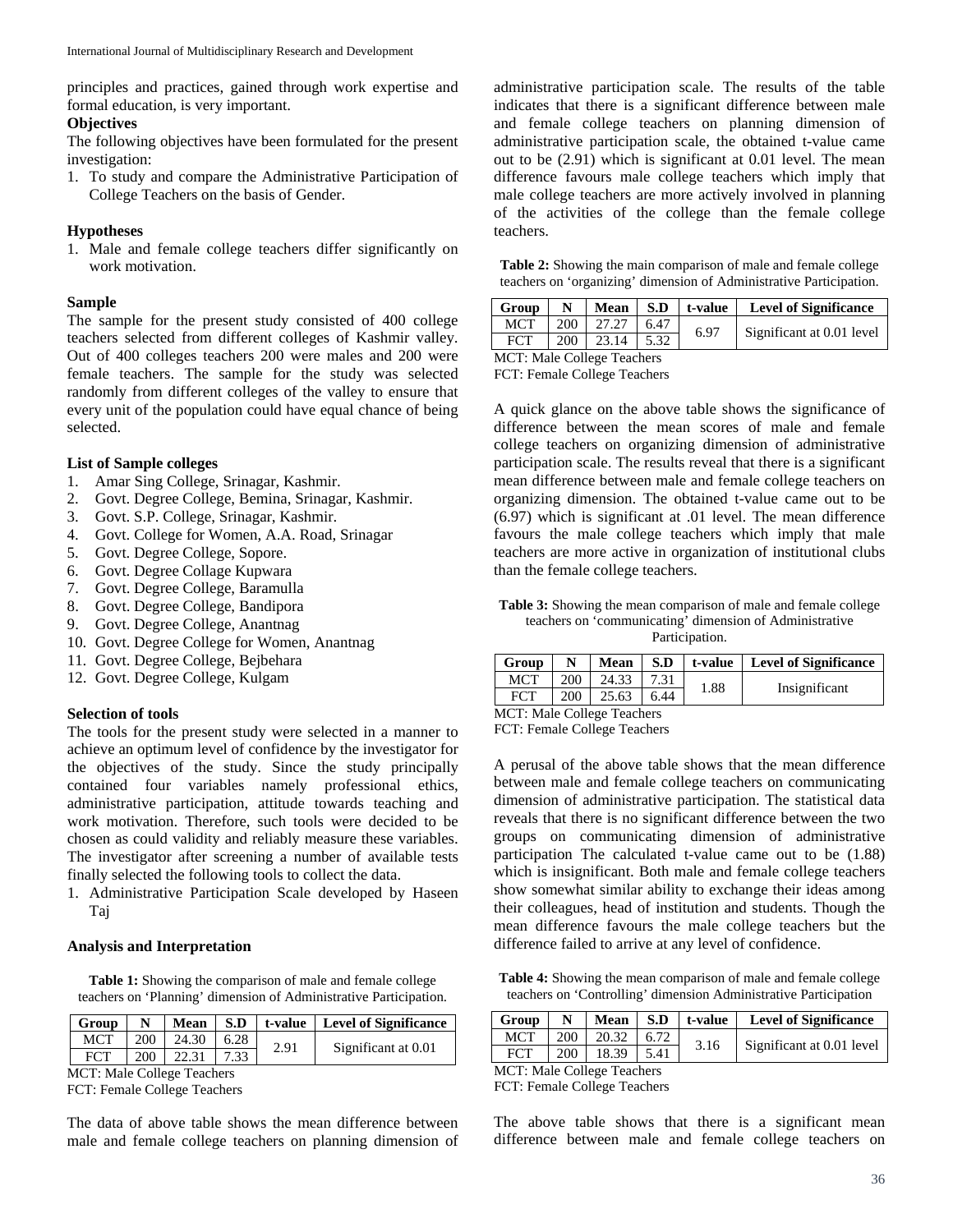principles and practices, gained through work expertise and formal education, is very important.

#### **Objectives**

The following objectives have been formulated for the present investigation:

1. To study and compare the Administrative Participation of College Teachers on the basis of Gender.

## **Hypotheses**

1. Male and female college teachers differ significantly on work motivation.

## **Sample**

The sample for the present study consisted of 400 college teachers selected from different colleges of Kashmir valley. Out of 400 colleges teachers 200 were males and 200 were female teachers. The sample for the study was selected randomly from different colleges of the valley to ensure that every unit of the population could have equal chance of being selected.

### **List of Sample colleges**

- 1. Amar Sing College, Srinagar, Kashmir.
- 2. Govt. Degree College, Bemina, Srinagar, Kashmir.
- 3. Govt. S.P. College, Srinagar, Kashmir.
- 4. Govt. College for Women, A.A. Road, Srinagar
- 5. Govt. Degree College, Sopore.
- 6. Govt. Degree Collage Kupwara
- 7. Govt. Degree College, Baramulla
- 8. Govt. Degree College, Bandipora
- 9. Govt. Degree College, Anantnag
- 10. Govt. Degree College for Women, Anantnag
- 11. Govt. Degree College, Bejbehara
- 12. Govt. Degree College, Kulgam

# **Selection of tools**

The tools for the present study were selected in a manner to achieve an optimum level of confidence by the investigator for the objectives of the study. Since the study principally contained four variables namely professional ethics, administrative participation, attitude towards teaching and work motivation. Therefore, such tools were decided to be chosen as could validity and reliably measure these variables. The investigator after screening a number of available tests finally selected the following tools to collect the data.

1. Administrative Participation Scale developed by Haseen Taj

# **Analysis and Interpretation**

**Table 1:** Showing the comparison of male and female college teachers on 'Planning' dimension of Administrative Participation.

| <b>Group</b> | $\mathbf N$ |                  |       |      | Mean   S.D   t-value   Level of Significance |  |
|--------------|-------------|------------------|-------|------|----------------------------------------------|--|
| MCT          | $-200$      | $24.30 \pm 6.28$ |       | 2.91 | Significant at 0.01                          |  |
| FCT          | 200         | 122.31           | 17.33 |      |                                              |  |
|              |             |                  |       |      |                                              |  |

MCT: Male College Teachers

FCT: Female College Teachers

The data of above table shows the mean difference between male and female college teachers on planning dimension of administrative participation scale. The results of the table indicates that there is a significant difference between male and female college teachers on planning dimension of administrative participation scale, the obtained t-value came out to be (2.91) which is significant at 0.01 level. The mean difference favours male college teachers which imply that male college teachers are more actively involved in planning of the activities of the college than the female college teachers.

**Table 2:** Showing the main comparison of male and female college teachers on 'organizing' dimension of Administrative Participation.

| Group                      | N   |              |      | Mean $\mid$ S.D $\mid$ t-value | <b>Level of Significance</b> |  |
|----------------------------|-----|--------------|------|--------------------------------|------------------------------|--|
| MCT                        | 200 | 127.27       | 6.47 | 6.97                           | Significant at 0.01 level    |  |
| FCT                        | 200 | $23.14$ 5.32 |      |                                |                              |  |
| MCT. Mala College Teachers |     |              |      |                                |                              |  |

MCT: Male College Teachers FCT: Female College Teachers

A quick glance on the above table shows the significance of difference between the mean scores of male and female college teachers on organizing dimension of administrative participation scale. The results reveal that there is a significant mean difference between male and female college teachers on organizing dimension. The obtained t-value came out to be (6.97) which is significant at .01 level. The mean difference favours the male college teachers which imply that male teachers are more active in organization of institutional clubs than the female college teachers.

**Table 3:** Showing the mean comparison of male and female college teachers on 'communicating' dimension of Administrative Participation.

| Group                             |     | Mean  | S.D  | t-value | <b>Level of Significance</b> |  |
|-----------------------------------|-----|-------|------|---------|------------------------------|--|
| MCT                               | 200 | 24.33 | 7.31 | 1.88    | Insignificant                |  |
| <b>FCT</b>                        | 200 | 25.63 | 6.44 |         |                              |  |
| <b>MCT:</b> Male College Teachers |     |       |      |         |                              |  |

FCT: Female College Teachers

A perusal of the above table shows that the mean difference between male and female college teachers on communicating dimension of administrative participation. The statistical data reveals that there is no significant difference between the two groups on communicating dimension of administrative participation The calculated t-value came out to be (1.88) which is insignificant. Both male and female college teachers show somewhat similar ability to exchange their ideas among their colleagues, head of institution and students. Though the mean difference favours the male college teachers but the difference failed to arrive at any level of confidence.

**Table 4:** Showing the mean comparison of male and female college teachers on 'Controlling' dimension Administrative Participation

| Group                      | N   |             |      | Mean S.D t-value | <b>Level of Significance</b> |  |
|----------------------------|-----|-------------|------|------------------|------------------------------|--|
| <b>MCT</b>                 | 200 | 20.32       | 6.72 | 3.16             | Significant at 0.01 level    |  |
| <b>FCT</b>                 |     | 200   18.39 | 5.41 |                  |                              |  |
| MCT. Male College Teachers |     |             |      |                  |                              |  |

MCT: Male College Teachers

FCT: Female College Teachers

The above table shows that there is a significant mean difference between male and female college teachers on